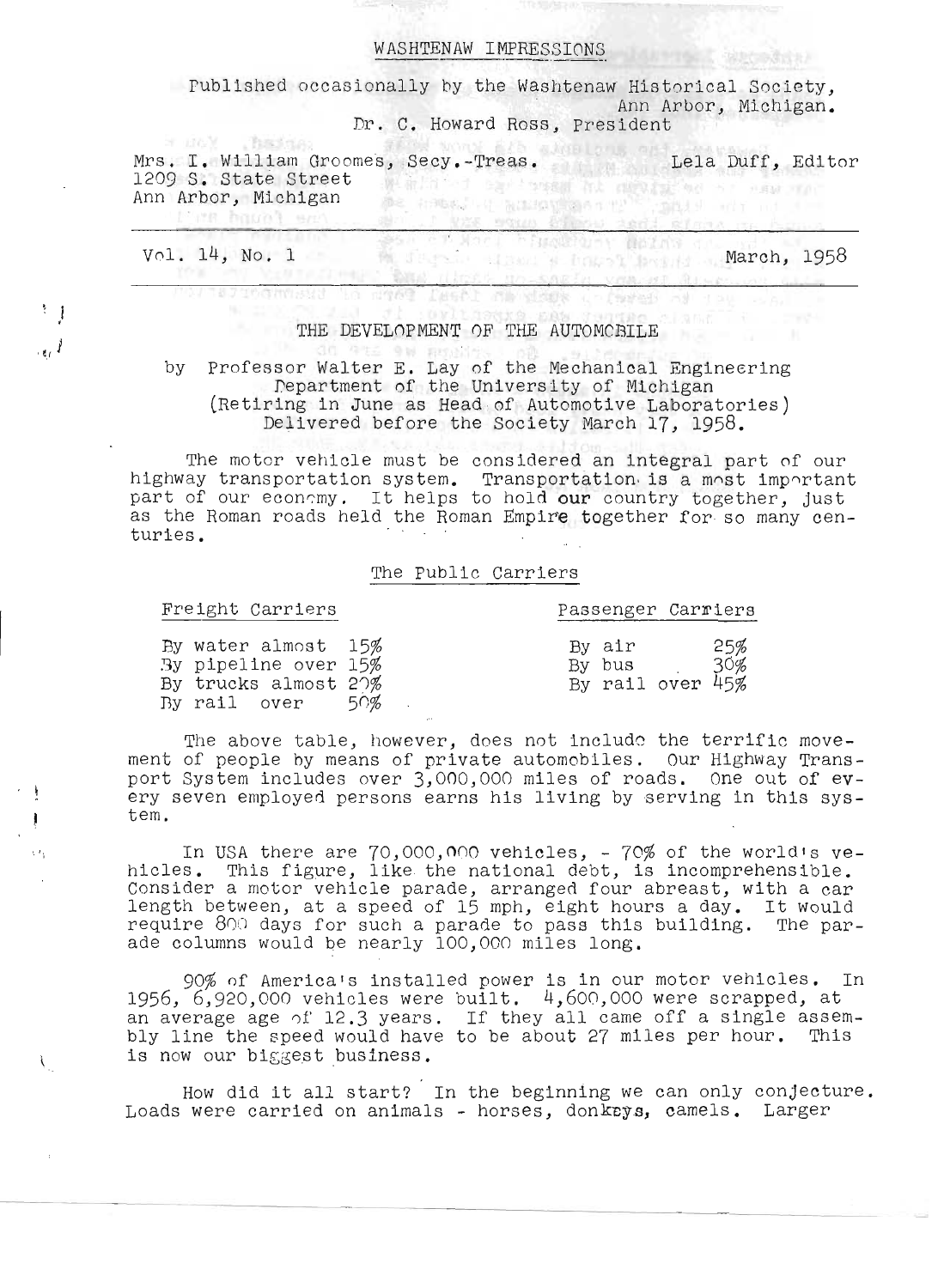#### WASHTENAW IMPRESSIONS

**PUBLISHEM LETTLESSIONS**<br>Published occasionally by the Washtenaw Historical Society, Ann Arbor, Michigan. Dr. C. Howard Ross, President

string was vaun brien and stream

ns. **I. William Groomes**, Secy.-Treas. Lela Duff, Editor rs. I. William Groome<br>209 S. State Street 1209 S. State Street<br>Ann Arbor, Michigan the student of Providing a magnetic state of

Vol. 14, No. 1 March, 1958

t'es havel est

 $^{\dagger}$   $\downarrow$ 

,  $_{\rm g}$  1

 $\mathcal{L}$ 

## THE DEVELOPMENT OF THE AUTOMCBILE

unaccommused to dae? Deall on elega unfared of tag can

v Professor Walter E. Lay of the Mechanical Engineering rolessor walter E. Lay of the Mechanical Engineering<br>. Department of the University of Michigan<br>Retiring in June as Head of Automotive Laboratories) (Retiring in June as Head of Automotive Laboratories)<br>Delivered before the Society March 17, 1958.

The motor vehicle must be considered an integral part of our highway transportation system. The motor venicle must be considered an integral part of our<br>ighway transportation system. Transportation.is a most important. ighway transportation system. Transportation is a most important<br>art of our economy. It helps to hold our country together, just art of our economy. It helps to hold **our** country together, just<br>s the Roman roads held the Roman Empire together for so many cenas the Roman roads held the Roman Empire together for so many cen-<br>turies.

#### The public Carriers

#### Freight Carriers **Passenger Carriers**

| By water almost 15%  |     | By air           | 25% |
|----------------------|-----|------------------|-----|
| By pipeline over 15% |     | By bus           | 30% |
| By trucks almost 20% |     | By rail over 45% |     |
|                      |     |                  |     |
| By rail over         | 50% |                  |     |

The above table, however, does not include the terrific movement of people hy means of private automobiles. Our Highway Transent of people by means of private automobiles. Our Highway Trans-<br>ort System includes over 3,000,000 miles of roads...One out of evort System includes over 3,000,000 miles of roads. One out of ev-<br>ry seven employed persons earns his living by serving in this syst'y SI<br>Am

In USA there are  $70,000,000$  vehicles, -  $70\%$  of the world's vehicles. This figure, like the national debt, is incomprehensible. Consider a motor vehicle parade, arranged four abreast, with a car length between, at a speed of 15 mph, eight hours a day. It would require 800 days for such a parade to pass this building. The parade columns would be nearly 100,000 miles long.

90% of America's installed power is in our motor vehicles. In 1956, 6,920,000 vehicles were built. 4,600,000 were scrapped, at 956, 6,920,000 vehicles were built. 4,600,000 were scrapped, at<br>n average age of 12.3 years . If they all came off a single assemn average age of 12.3 years. If they all came off a single assem-<br>Iv line the speed would have to be about 27 miles per hour. This bly line the speed would have<br>is now our biggest business.

How did it all start? In the beginning we can only conjecture. Loads were carried on animals - horses, donkeys, camels. Larger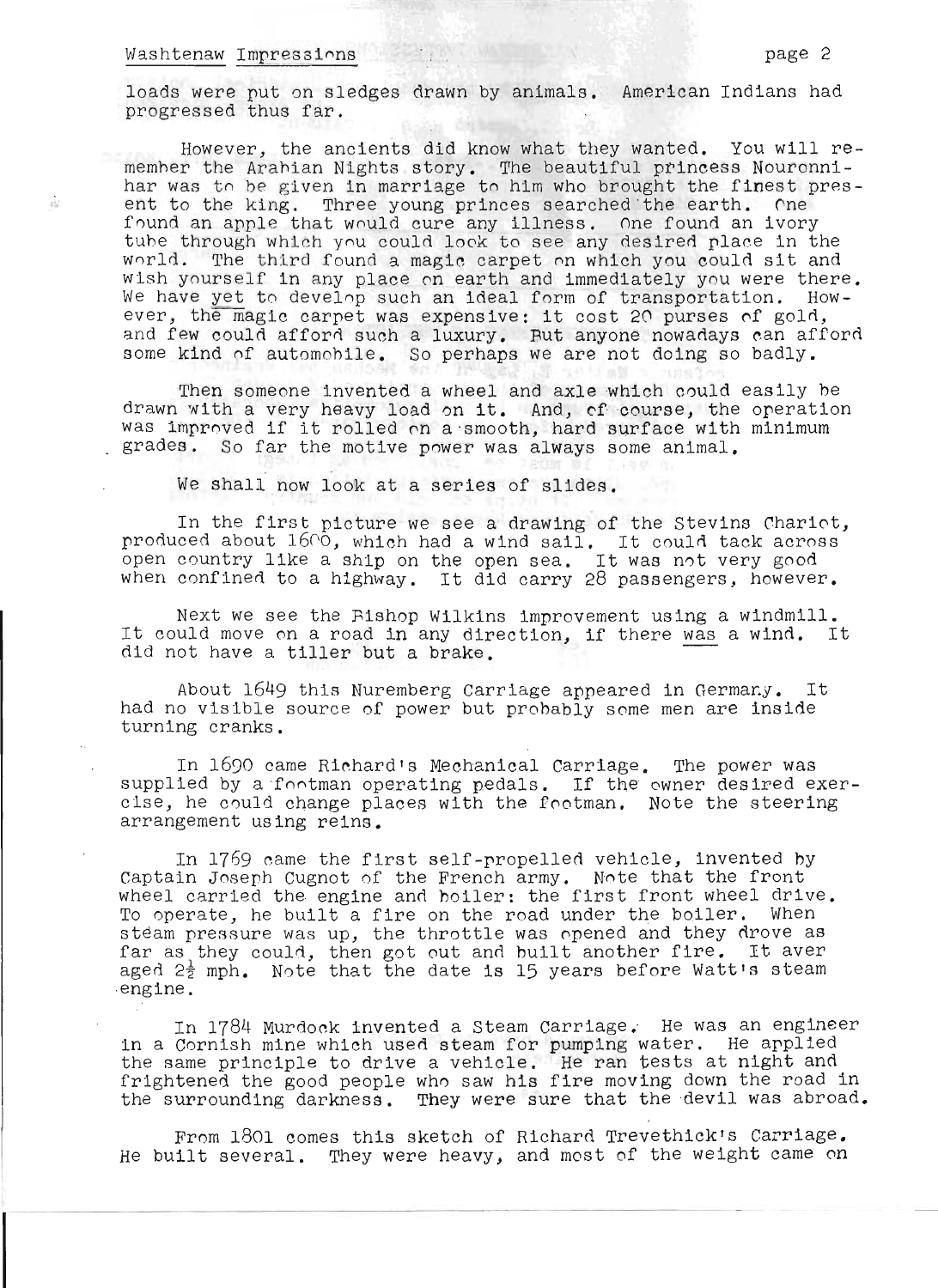#### Washtenaw Impressions page 2

 $\hat{\mathcal{V}}^1_{\mathcal{U}}$ 

loads were put on sledges drawn by animals. American Indians had progressed thus far.

However, the ancients did know what they wanted. You will rememher the Arahian Nights story. The beautiful princess Nouronnihar was to be given in marriage to him who brought the finest present to the king. Three young princes searched the earth. One found an apple that would cure any illness. One found an ivory tuhe through which you could look to see any desired place in the world. The third found a magic carpet on which you could sit and wish yourself in any place on earth and immediately you were there. We have yet to develop such an ideal form of transportation. However, the magic carpet was expensive: it cost 20 purses of gold, and few could afford such a luxury. But anyone nowadays can afford some kind of automohile. So perhaps we are not doing so badly.

Then someone invented a wheel and axle which could easily be drawn with a very heavy load on it. And, of course, the operation was improved if it rolled on a 'smooth, hard surface with minimum grades. So far the motive power was always some animal.

We shall now look at a series of slides.

In the first picture we see a drawing of the Stevins Chariot, produced about 1600, which had a wind sail. It could tack across produced about locu, which had a wind sail. It could tack acros<br>open country like a ship on the open sea. It was not very good when confined to a highway. It did carry 28 passengers, however.

Next we see the Bishop Wilkins improvement using a windmill. Next we see the Hishop wilkins improvement using a windmill.<br>It could move on a road in any direction, if there was a wind. It Lt could move on a road in any direction, if there <u>was</u><br>did not have a tiller but a brake.

About 1649 this Nuremberg Carriage appeared in Germany. It had no visible source of power but probably some men are inside turning cranks.

In 1690 came Richard's Mechanical Carriage. The power was supplied by a footman operating pedals. If the owner desired exercise, he could change places with the footman. Note the steering arrangement using reins.

In 1769 came the first self-propelled vehicle, invented by Captain Joseph Cugnot of the French army. Note that the front wheel carried the engine and hoiler: the first front wheel drive. To operate, he built a fire on the road under the boiler. When steam pressure was up, the throttle was opened and they drove as steam pressure was up, the throttle was opened and they drove as<br>far as they could, then got out and built another fire. It aver aged 2<sup>1</sup>/<sub>2</sub> mph. Note that the date is 15 years before Watt's steam ,engine.

In 1784 Murdock invented a Steam carriage. He was an engineer in a Cornish mine which used steam for pumping water. He applied the same principle to drive a vehicle. He ran tests at night and frightened the good people who saw his fire moving down the road in the surrounding darkness. They were sure that the devil was abroad.

From 1801 comes this sketch of Richard Trevethick's Carriage. He built several. They were heavy, and most of the weight came on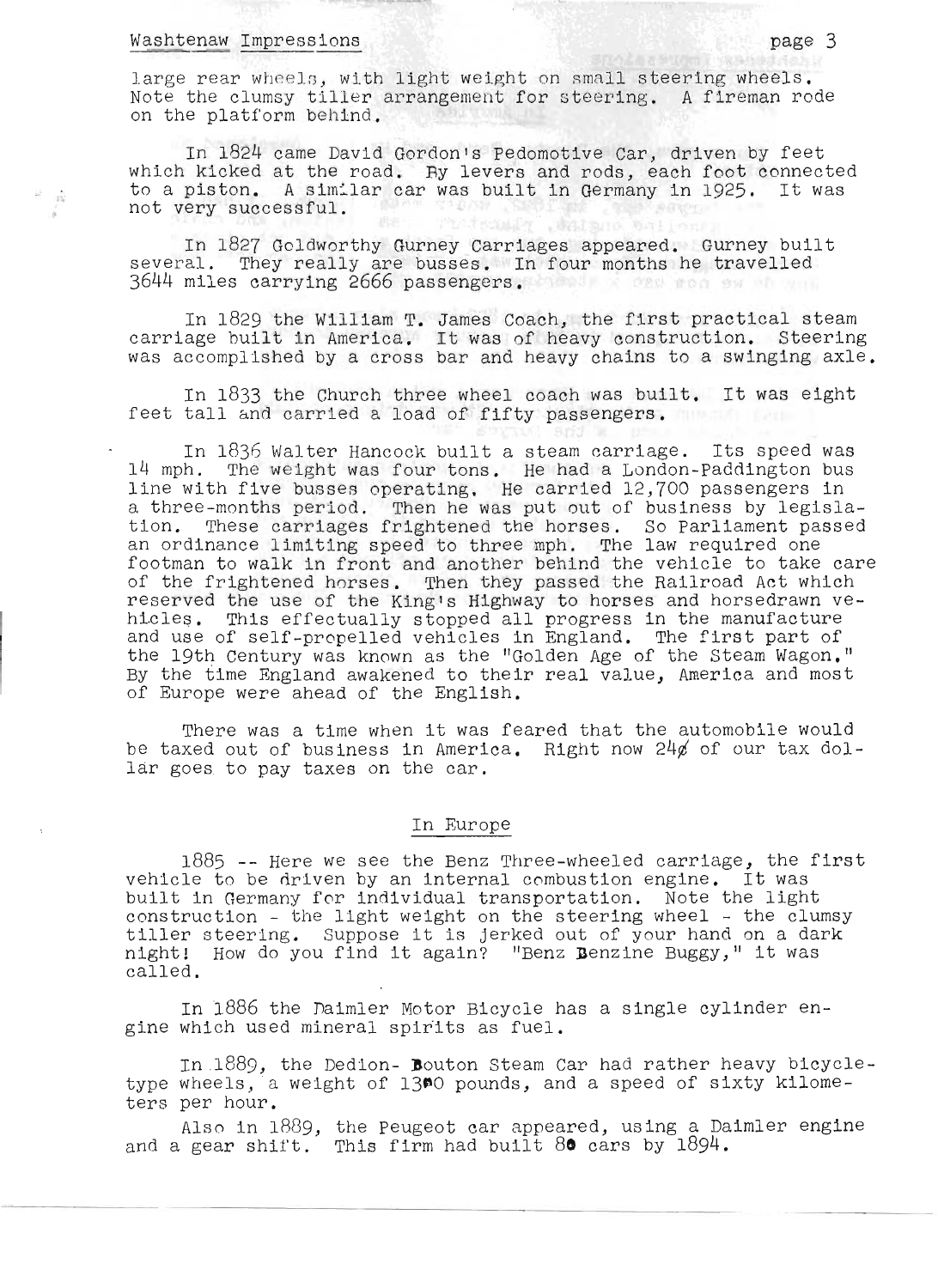#### Washtenaw Impressions page 3

 $\overrightarrow{m}$ 

large rear wheels, with light weight on small steering wheels. Note the clumsy tiller arrangement for steering. A fireman rode on the platform behind.

In 1824 came David Gordon's Pedomotive Car, driven by feet which kicked at the road. By levers and rods, each foot connected to a piston. A similar car was built in Germany in 1925. It was not very successful. not very successful. **START AND ARRANGEMENT** 

In 1827 Goldworthy Gurney Carriages appeared. Gurney built several. They really are busses. In four months he travelled 3644 miles carrying 2666 passengers.

In 1829 the William **T.** James Coach, the first practical steam carriage built in America. It was of heavy construction. Steering was accomplished by a cross bar and heavy chains to a swinging axle.

In 1833 the Church three wheel coach was built. It was eight feet tall and carried a load of fifty passengers.

In 1836 Walter Hancock built a steam carriage. Its speed was 14 mph. The weight was four tons. He had a London-Paddington bus line with five busses operating. He carried 12,700 passengers in ine with live busses operating. He carried iz, oo passengers in.<br>I three-months period. Then he was put out of business by legislat three-months period. Then he was put out of business by fegisia-<br>ion. These carriages frightened the horses. So Parliament passed an ordinance limiting speed to three mph. The law required one footman to walk in front and another behind the vehicle to take care of the frightened horses. Then they passed the Railroad Act which reserved the use of the King's Highway to horses and horsedrawn ve-'eserved the use of the King's Highway to horses and horsedrawn ve<br>iicles. This effectually stopped all progress in the manufacture itcles. This effectually stopped all progress in the manufacture<br>ind use of self-propelled vehicles in England. The first part of the 19th Century was known as the "Golden Age of the Steam Wagon." By the time England awakened to their real value, America and most of Europe were ahead of the English.

There was a time when it was feared that the automobile would be taxed out of business in America. Right now  $24\not\!$  of our tax dollar goes to pay taxes on the car.

#### In Europe

1885 -- Here we see the Benz Three-wheeled carriage, the first vehicle to be driven by an internal combustion engine. It was built in Germany for individual transportation. Note the light construction - the light weight on the steering wheel - the clumsy onstruction – the light weight on the steering wheel – the clumsy:<br>iller steering. Suppose it is jerked out of your hand on a dark: iiller steering. Suppose it is jerked out of your hand on a dar.<br>Iight! How do you find it again? "Benz Benzine Buggy," it was night! How do you find it again? "Benz Benzine Buggy," it was called.

In 1886 the naimler Motor Bicycle has a single cylinder engine which used mineral spirits as fuel.

In 1889, the Dedion- Bouton Steam Car had rather heavy bicycletype wheels, a weight of 1300 pounds, and a speed of sixty kilometers per hour.

Also in 1889, the peugeot car appeared, using a Daimler engine and a gear shift. This firm had built **8a** cars by 1894.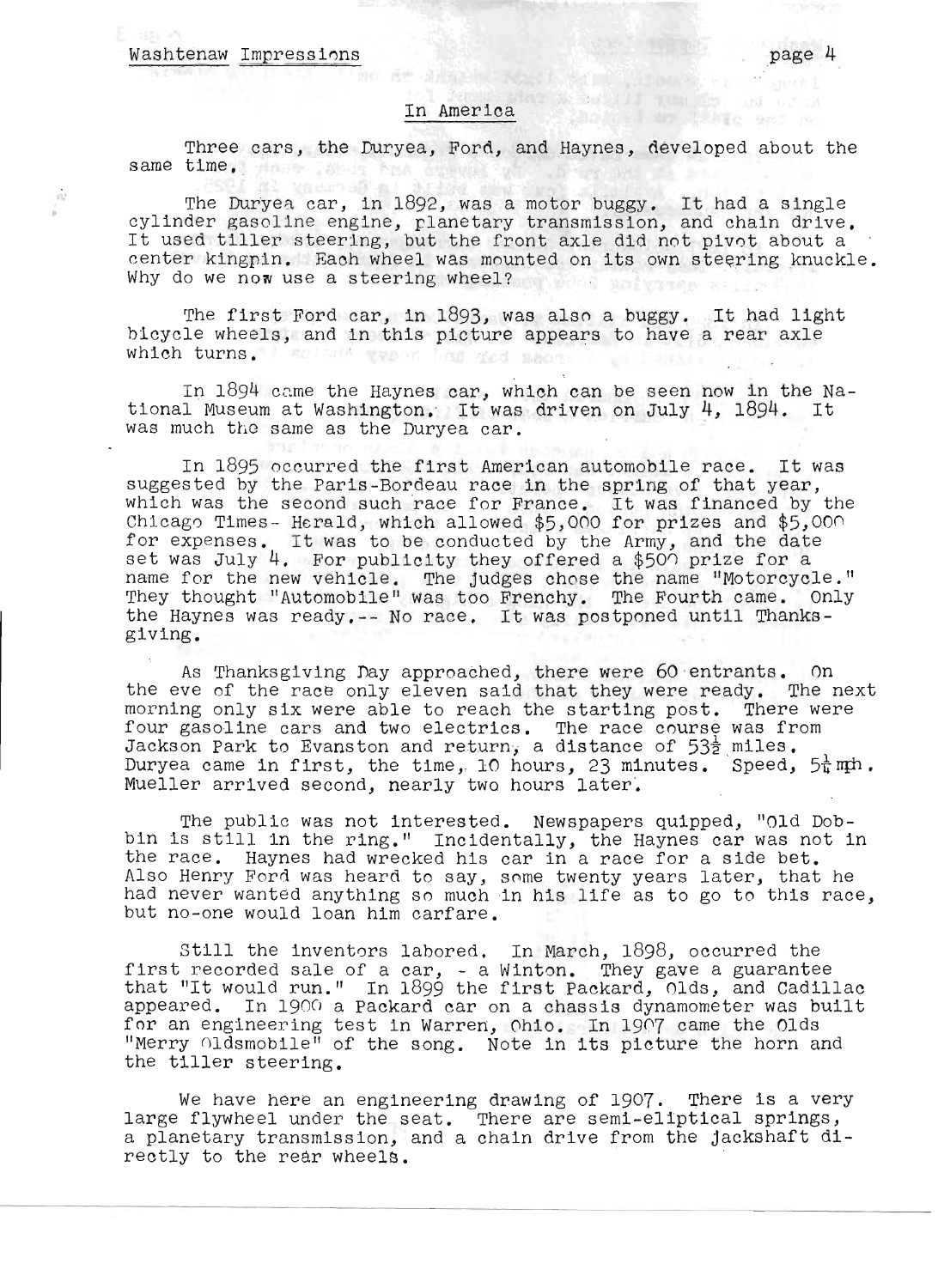#### Washtenaw Impressions

 $\dot{\alpha}$ 

#### In America

Three cars, the Duryea, Ford, and Haynes, developed about the same time, there also had

The Duryea car, in 1892, was a motor buggy. It had a single<br>cylinder gasoline engine, planetary transmission, and chain drive.<br>It used tiller steering, but the front axle did not pivot about a center kingpin. Each wheel was mounted on its own steering knuckle. Why do we now use a steering wheel?

The first Ford car, in 1893, was also a buggy. It had light bicycle wheels, and in this picture appears to have a rear axle which turns. I sell and www. had ged seon

In  $1894$  came the Haynes car, which can be seen now in the National Museum at Washington. It was driven on July 4, 1894. It was much the same as the Duryea car.

In 1895 occurred the first American automobile race. It was suggested by the Paris-Bordeau race in the spring of that year, uggested by the Paris-Bordeau race in the spring of that year,<br>Thich was the second such race for France. It was financed by the nich was the second such race for france. It was financed by the<br>hicago Times- Herald, which allowed \$5,000 for prizes and \$5,000 hicago Times- Herald, which allowed \$5,000 for prizes and \$5,000:<br>'or expenses. It was to be conducted by the Army, and the date or expenses. It was to be conducted by the Army, and the date<br>et was July 4. For publicity they offered a \$500 prize for a name for the new vehicle. The judges chose the name "Motorcycle." and for the new venicle. The judges enose the hame potorcycle.<br>They thought "Automobile" was too Frenchy. The Fourth came. Only<br>the Haynes was ready.-- No race. It was postponed until Thanksthe Haynes was ready.-- No race. It was postponed until Thanks-<br>giving.

As Thanksgiving Day approached, there were 60'entrants. On the eve of the race only eleven said that they were ready. The next morning only six were able to reach the starting post. There were fourning only six were able to reach the starting post. There we<br>'our gasoline cars and two electrics. The race course was from our gasorine cars and two electrics. The race course was from<br>ackson Park to Evanston and return, a distance of 53t miles. Duryea came in first, the time, 10 hours, 23 minutes. Speed,  $5\frac{1}{4}$ mph. Mueller arrived second, nearly two hours later'.

The public was not interested. Newspapers quipped, "Old Dobbin is still in the ring." Incidentally, the Haynes car was not in the race. Haynes had wrecked his car in a race for a side bet. he race. Haynes had wrecked his car in a race for a side bet.<br>Iso Henry Ford was heard to say, some twenty years later, that he lso henry Ford was heard to say, some twenty years later, that he<br>ad never wanted anything so much in his life as to go to this race. had never wanted anything so much in his life as to go to this race,<br>but no-one would loan him carfare.

still the ihventors labored. In March, 1898, occurred the first recorded sale of a car, - a Winton. They gave a guarantee irst recorded sale of a car, - a Winton. They gave a guarantee<br>hat "It would run." In 1899 the first Packard. Olds, and Cadillac appeared. In 190G a Packard car on a chassis dynamometer was built ippeared. In 1900 a rackard car on a chassis dynamometer was bu<br>'or an engineering test in Warren. Ohio. In 1907 came the Olds or an engineering test in Warren, Ohio. In 1907 came the Olds<br>Merry Oldsmobile" of the song. Note in its picture the horn and Merry Oldsmobile" of<br>he tiller steering.

We have here an engineering drawing of 1907. There is a very large flywheel under the seat. There are semi-eliptical springs, a planetary transmission, and a chain drive from the jackshaft directly to the rear wheels.

have no the team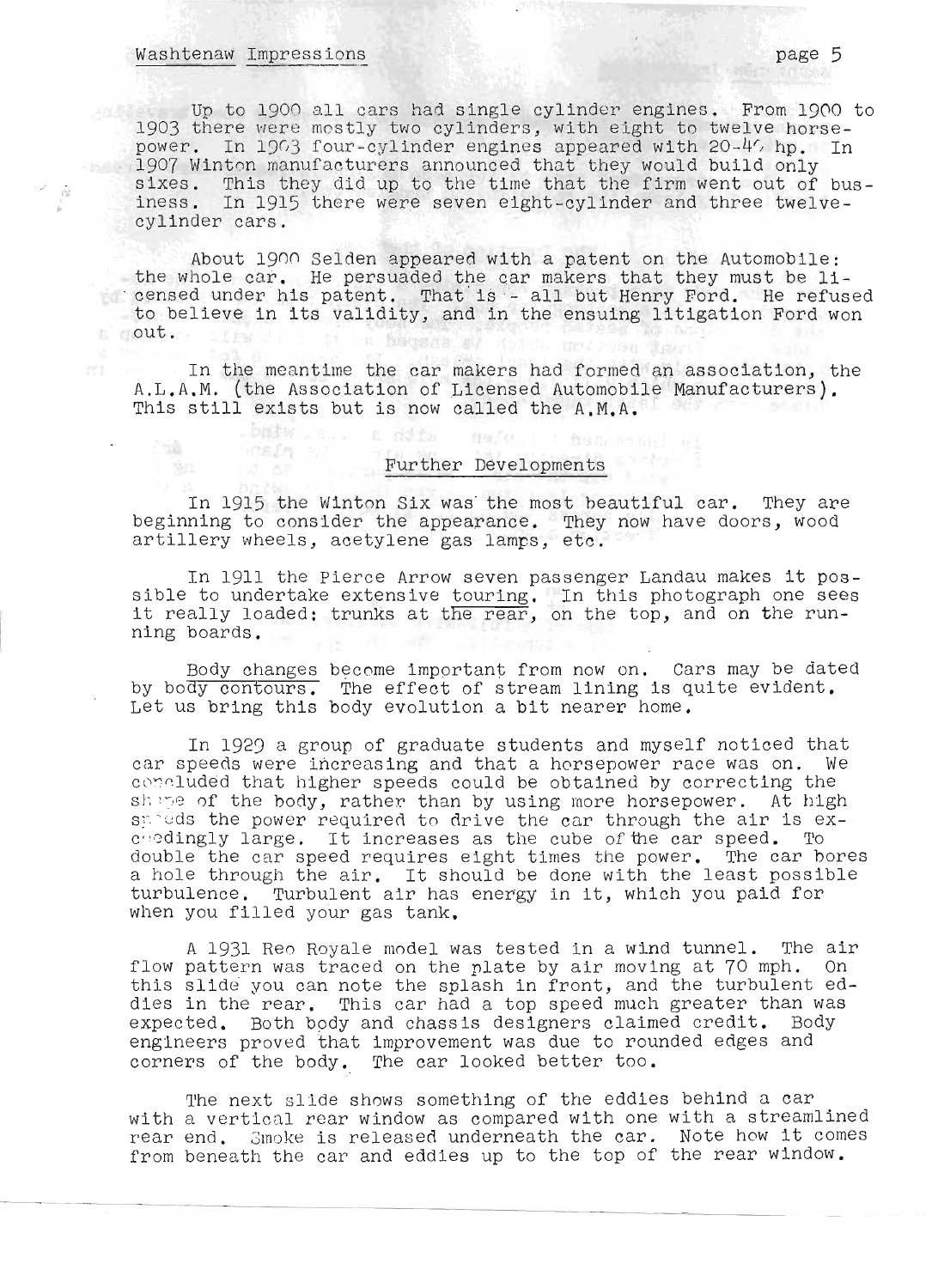### washtenaw Impressions of the contract of the contract of the contract of the contract of the contract of the contract of the contract of the contract of the contract of the contract of the contract of the contract of the c

WELF SIN **UUS OF** 

 $\tilde{\mathcal{D}}$ 

o to 1900 all cars had single cylinder engines. From 1900 to In to 1900 all cars had single cylinder engines. From 1900 to the mostly two cylinders, with eight to twelve horse-903 there were mostly two cylinders, with eight to twelve horse-<br>awer...In 1903 four-evilinder engines appeared with 20-40 hp. In ower. In 1903 four-cylinder engines appeared with 20–40 hp. I<br>207 Winton manufacturers announced that they would build only 907 Winton manufacturers announced that they would build only<br>lyes... This they did up to the time that the firm went out of busixes. This they did up to the time that the firm went out of bus<br>ness. In 1915 there were seven eight avlinder and three twelveiness. In 1915 there were seven eight-cylinder and three twelve-<br>cylinder cars.

Ab out 190n Selden appeared with a patent on the Automobile: the whole car. He persuaded the car makers that they must be li- $\blacksquare$  censed under his patent. That is - all but Henry Ford. He refused to believe in its validity, and in the ensuing litigation Ford won<br>out.

In the meantime the car ~akers had formed an association, the In the meantime the car makers had formed an association, the L.A.M. (the Association of Licensed Automobile.<br>his still exists but is now called the A.M.A.

# Further Developments

In 1915 the Winton Six was' the most beautiful car. They are beginning to consider the appearance. They now have doors, wood eginning to consider the appearance. They r<br>rtillery wheels, acetylene gas lamps, etc.

In 1911 the Pierce Arrow seven passenger Landau makes it possible the pierce Arrow seven passenger Landau makes it pos-<br>ible to undertake extensive touring. In this photograph one sees ible to undertake extensive touring. In this photograph one sees t really load<br>ing boards

Body changes become important from now on. Cars may be dated Body changes become important from now on. Cars may be dated<br>The effect of stream lining is quite evident. y bo<del>dy contours.</del> The effect of stream lining is qu:<br>et us bring this body evolution a bit nearer home

In 1929 a group of graduate students and myself noticed that In 1929 a group of graduate students and myself noticed that<br>In speeds were increasing and that a horsepower race was on. We car speeds were increasing and that a horsepower race was on. We concluded that higher speeds could be obtained by correcting the shing of the body, rather than by using more horsepower. At high speeds the power required to drive the car through the air is exduedingly large. It increases as the cube of the car speed. To double the car speed requires eight times the power. The car bores a hole through the air. It should be done with the least possible turbulence. Turbulent air has energy in it, which you paid for when you filled your gas tank.

A 1931 Reo Royale model was tested in a wind tunnel. The air A 1931 Reo Royale model was tested in a wind tunnel. The air<br>low pattern was traced on the plate by air moving at 70 mph. On flow pattern was traced on the plate by air moving at 70 mph. On this slide you can note the splash in front, and the turbulent eddies in the rear. This car had a top speed much greater than was expected. Both body and chassis designers claimed credit. Body engineers proved that improvement was due to rounded edges and corners of the body. The car looked better too.

The next slide shows something of the eddies behind a car The next slide shows something of the eddies behind a car<br>ith a vertical rear window as compared with one with a streamlined with a vertical rear window as compared with one with a streamlined<br>rear end. Smoke is released underneath the car. Note how it comes from beneath the car and eddies up to the top of the rear window.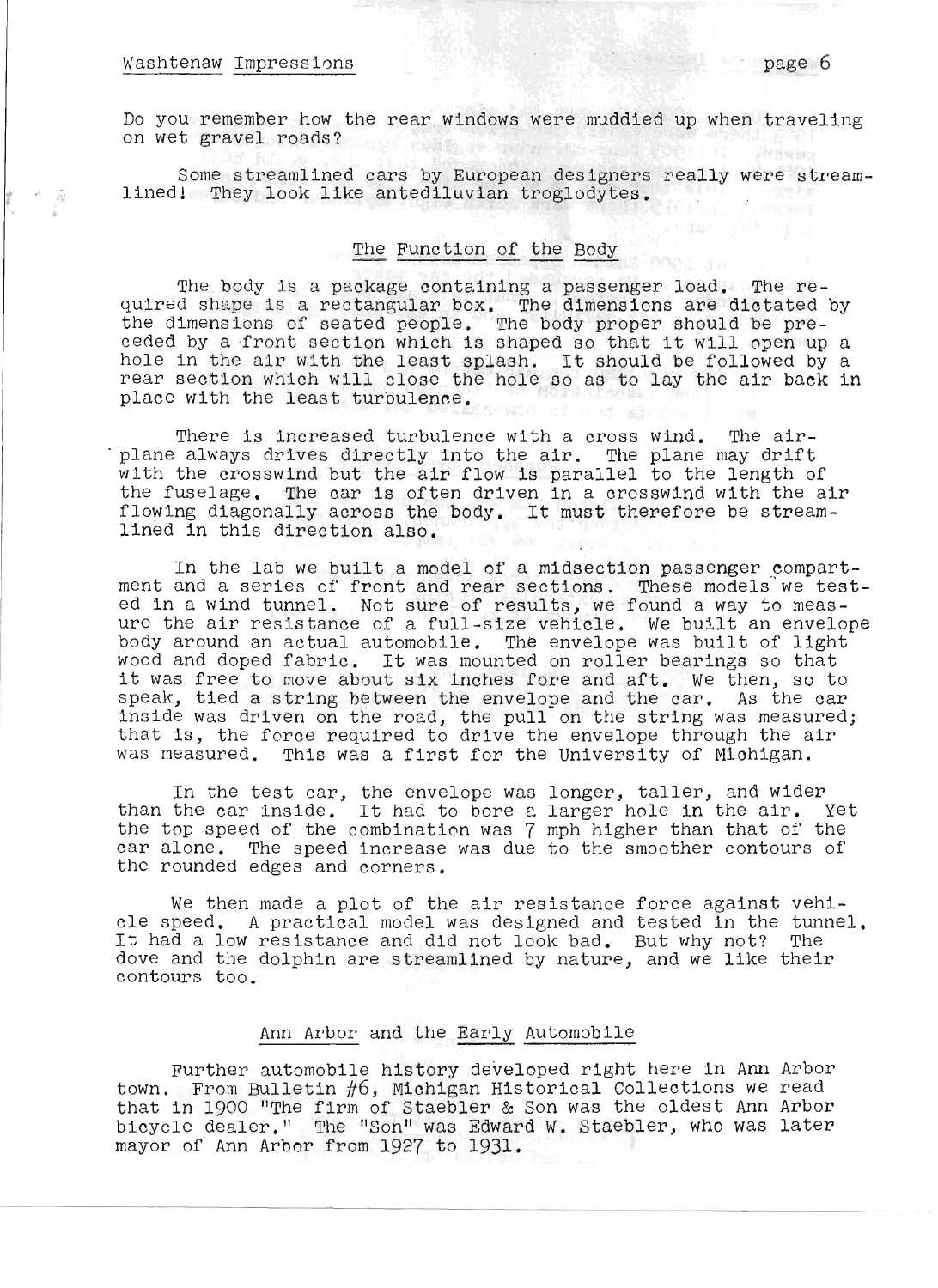### Washtenaw Impressions **page 6**

 $\epsilon = \frac{1}{\sqrt{2}}$ 

Do you remember how the rear windows were muddied up when traveling on wet gravel roads?

Some streamlined cars by European designers really were streamlined! They look like antediluvian troglodytes. : 高くいと<br>- Listics - Listing - Tool とお

#### The Function of the Body

The body is a package containing a passenger load. The re--ine bouy is a package containing a passenger load. The re-<br>ulred shape is a rectangular box. The dimensions are dictated by diffed shape is a rectanguiar box. The dimensions are dictated by<br>the dimensions of seated people. The body proper should be pre-<br>eded by a front section which is shaped so that it will open up a hole in the air with the least splash. It should be followed by a rear section which will close the hole so as to lay the air back in place with the least turbulence.

There is increased turbulence with a cross wind. The air-<br>plane always drives directly into the air. The plane may drift with the crosswind but the air flow is parallel to the length of the fuselage. The car is often driven in a crosswind with the air flowing diagonally across the body. It must therefore be streamlined in this direction also.

In the lab we built a model of a midsection passenger compartment and a series of front and rear sections. These models we tested in a wind tunnel. Not sure of results, we found a way to measure the air resistance of a full-size vehicle. We built an envelope body around an actual automobile. The envelope was built of light wood and doped fabric. It was mounted on roller bearings so that it was free to move about six inches fore and aft. We then, so to speak, tied a string between the envelope and the car. As the car inside was driven on the road, the pull on the string was measured; that is, the force required to drive the envelope through the air was measured. This was a first for the University of Michigan.

In the test car, the envelope was longer, taller, and wider In the test car, the envelope was longer, taller, and wider<br>than the car inside. It had to bore a larger hole in the air. Yet the top speed of the combination was 7 mph higher than that of the car alone. The speed increase was due to the smoother contours of the rounded edges and corners.

We then made a plot of the air resistance force against vehicle speed. A practical model was designed and tested in the tunnel. It had a low resistance and did not look bad. But why not? The dove and the dolphin are streamlined by nature, and we like their contours too.

#### Ann Arbor and the Early Automobile

Further automobile history developed right here in Ann Arbor town. From Bulletin #6, Michigan Historical Collections we read that in 1900 "The firm of Staebler & Son was the oldest Ann Arbor".<br>hat in 1900 "The firm of Staebler & Son was the oldest Ann Arbor" bicycle dealer." The "Son" was Edward W. Staebler, who was later mayor of Ann Arbor from 1927 to 1931.